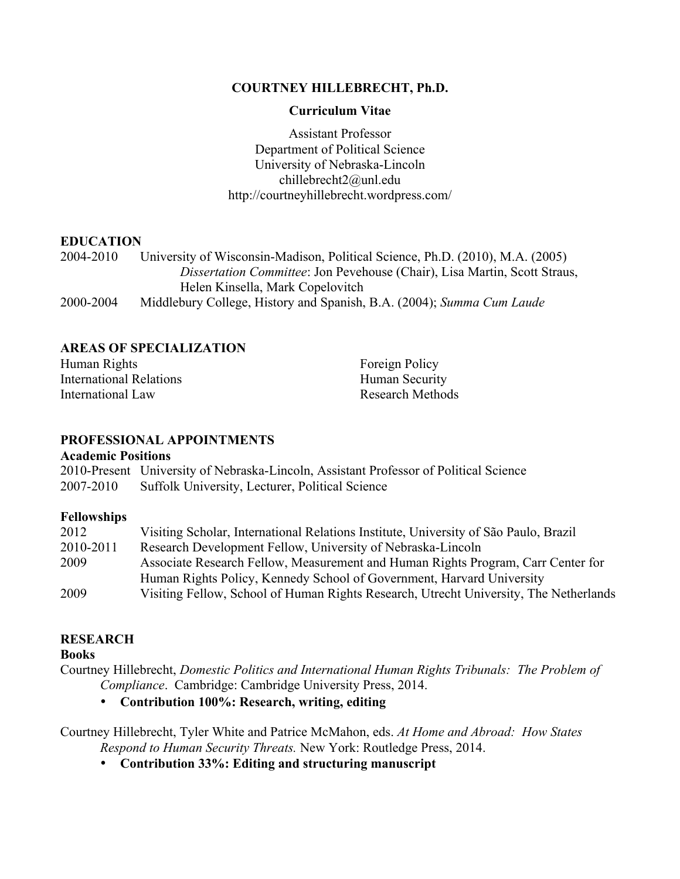# **COURTNEY HILLEBRECHT, Ph.D.**

## **Curriculum Vitae**

Assistant Professor Department of Political Science University of Nebraska-Lincoln chillebrecht2@unl.edu http://courtneyhillebrecht.wordpress.com/

# **EDUCATION**

2004-2010 University of Wisconsin-Madison, Political Science, Ph.D. (2010), M.A. (2005) *Dissertation Committee*: Jon Pevehouse (Chair), Lisa Martin, Scott Straus, Helen Kinsella, Mark Copelovitch 2000-2004 Middlebury College, History and Spanish, B.A. (2004); *Summa Cum Laude*

# **AREAS OF SPECIALIZATION**

Human Rights International Relations International Law Foreign Policy Human Security Research Methods

# **PROFESSIONAL APPOINTMENTS**

#### **Academic Positions**

|           | 2010-Present University of Nebraska-Lincoln, Assistant Professor of Political Science |
|-----------|---------------------------------------------------------------------------------------|
| 2007-2010 | <b>Suffolk University, Lecturer, Political Science</b>                                |

#### **Fellowships**

| 2012      | Visiting Scholar, International Relations Institute, University of São Paulo, Brazil  |
|-----------|---------------------------------------------------------------------------------------|
| 2010-2011 | Research Development Fellow, University of Nebraska-Lincoln                           |
| 2009      | Associate Research Fellow, Measurement and Human Rights Program, Carr Center for      |
|           | Human Rights Policy, Kennedy School of Government, Harvard University                 |
| 2009      | Visiting Fellow, School of Human Rights Research, Utrecht University, The Netherlands |

# **RESEARCH**

#### **Books**

Courtney Hillebrecht, *Domestic Politics and International Human Rights Tribunals: The Problem of Compliance*. Cambridge: Cambridge University Press, 2014.

• **Contribution 100%: Research, writing, editing**

Courtney Hillebrecht, Tyler White and Patrice McMahon, eds. *At Home and Abroad: How States Respond to Human Security Threats.* New York: Routledge Press, 2014.

• **Contribution 33%: Editing and structuring manuscript**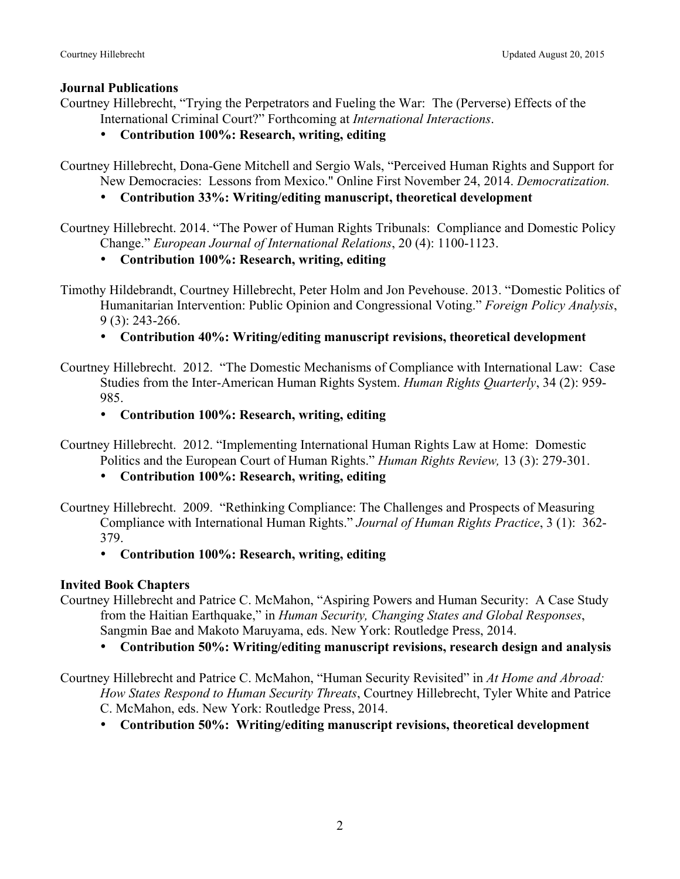# **Journal Publications**

- Courtney Hillebrecht, "Trying the Perpetrators and Fueling the War: The (Perverse) Effects of the International Criminal Court?" Forthcoming at *International Interactions*.
	- **Contribution 100%: Research, writing, editing**

Courtney Hillebrecht, Dona-Gene Mitchell and Sergio Wals, "Perceived Human Rights and Support for New Democracies: Lessons from Mexico." Online First November 24, 2014. *Democratization.*

• **Contribution 33%: Writing/editing manuscript, theoretical development**

Courtney Hillebrecht. 2014. "The Power of Human Rights Tribunals: Compliance and Domestic Policy Change." *European Journal of International Relations*, 20 (4): 1100-1123.

• **Contribution 100%: Research, writing, editing**

Timothy Hildebrandt, Courtney Hillebrecht, Peter Holm and Jon Pevehouse. 2013. "Domestic Politics of Humanitarian Intervention: Public Opinion and Congressional Voting." *Foreign Policy Analysis*, 9 (3): 243-266.

# • **Contribution 40%: Writing/editing manuscript revisions, theoretical development**

- Courtney Hillebrecht. 2012. "The Domestic Mechanisms of Compliance with International Law: Case Studies from the Inter-American Human Rights System. *Human Rights Quarterly*, 34 (2): 959- 985.
	- **Contribution 100%: Research, writing, editing**

Courtney Hillebrecht. 2012. "Implementing International Human Rights Law at Home: Domestic Politics and the European Court of Human Rights." *Human Rights Review,* 13 (3): 279-301.

• **Contribution 100%: Research, writing, editing**

Courtney Hillebrecht. 2009. "Rethinking Compliance: The Challenges and Prospects of Measuring Compliance with International Human Rights." *Journal of Human Rights Practice*, 3 (1): 362- 379.

# • **Contribution 100%: Research, writing, editing**

# **Invited Book Chapters**

Courtney Hillebrecht and Patrice C. McMahon, "Aspiring Powers and Human Security: A Case Study from the Haitian Earthquake," in *Human Security, Changing States and Global Responses*, Sangmin Bae and Makoto Maruyama, eds. New York: Routledge Press, 2014.

- **Contribution 50%: Writing/editing manuscript revisions, research design and analysis**
- Courtney Hillebrecht and Patrice C. McMahon, "Human Security Revisited" in *At Home and Abroad: How States Respond to Human Security Threats*, Courtney Hillebrecht, Tyler White and Patrice C. McMahon, eds. New York: Routledge Press, 2014.
	- **Contribution 50%: Writing/editing manuscript revisions, theoretical development**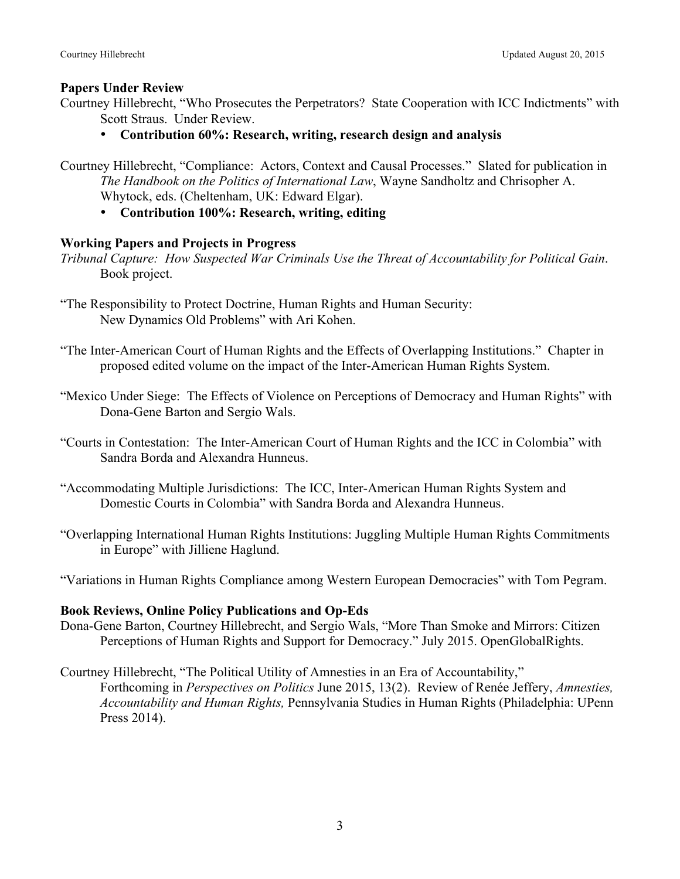#### **Papers Under Review**

- Courtney Hillebrecht, "Who Prosecutes the Perpetrators? State Cooperation with ICC Indictments" with Scott Straus. Under Review.
	- **Contribution 60%: Research, writing, research design and analysis**
- Courtney Hillebrecht, "Compliance: Actors, Context and Causal Processes." Slated for publication in *The Handbook on the Politics of International Law*, Wayne Sandholtz and Chrisopher A. Whytock, eds. (Cheltenham, UK: Edward Elgar).
	- **Contribution 100%: Research, writing, editing**

### **Working Papers and Projects in Progress**

- *Tribunal Capture: How Suspected War Criminals Use the Threat of Accountability for Political Gain*. Book project.
- "The Responsibility to Protect Doctrine, Human Rights and Human Security: New Dynamics Old Problems" with Ari Kohen.
- "The Inter-American Court of Human Rights and the Effects of Overlapping Institutions." Chapter in proposed edited volume on the impact of the Inter-American Human Rights System.
- "Mexico Under Siege: The Effects of Violence on Perceptions of Democracy and Human Rights" with Dona-Gene Barton and Sergio Wals.
- "Courts in Contestation: The Inter-American Court of Human Rights and the ICC in Colombia" with Sandra Borda and Alexandra Hunneus.
- "Accommodating Multiple Jurisdictions: The ICC, Inter-American Human Rights System and Domestic Courts in Colombia" with Sandra Borda and Alexandra Hunneus.
- "Overlapping International Human Rights Institutions: Juggling Multiple Human Rights Commitments in Europe" with Jilliene Haglund.

"Variations in Human Rights Compliance among Western European Democracies" with Tom Pegram.

#### **Book Reviews, Online Policy Publications and Op-Eds**

- Dona-Gene Barton, Courtney Hillebrecht, and Sergio Wals, "More Than Smoke and Mirrors: Citizen Perceptions of Human Rights and Support for Democracy." July 2015. OpenGlobalRights.
- Courtney Hillebrecht, "The Political Utility of Amnesties in an Era of Accountability," Forthcoming in *Perspectives on Politics* June 2015, 13(2). Review of Renée Jeffery, *Amnesties, Accountability and Human Rights,* Pennsylvania Studies in Human Rights (Philadelphia: UPenn Press 2014).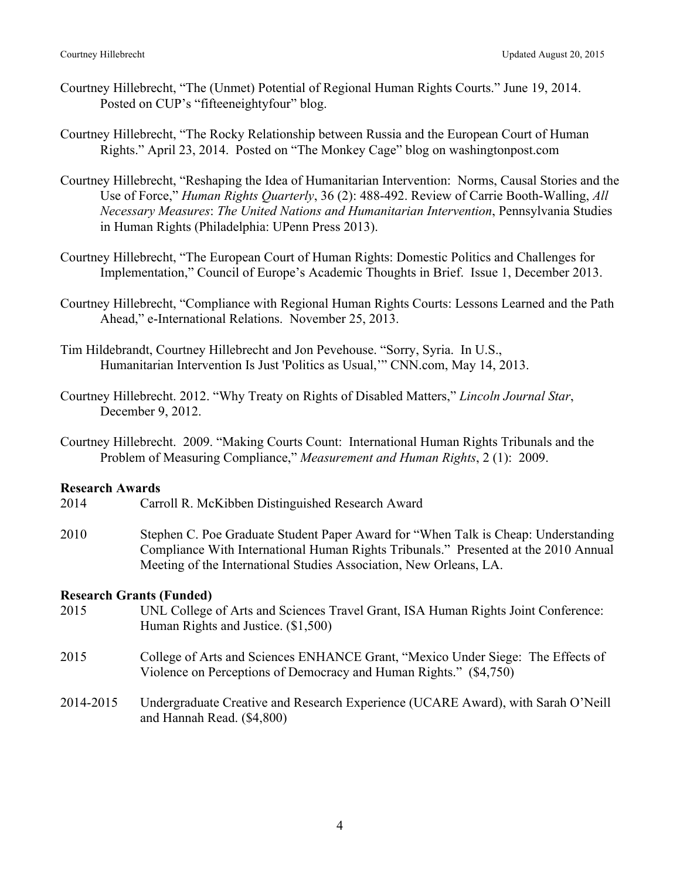- Courtney Hillebrecht, "The (Unmet) Potential of Regional Human Rights Courts." June 19, 2014. Posted on CUP's "fifteeneightyfour" blog.
- Courtney Hillebrecht, "The Rocky Relationship between Russia and the European Court of Human Rights." April 23, 2014. Posted on "The Monkey Cage" blog on washingtonpost.com
- Courtney Hillebrecht, "Reshaping the Idea of Humanitarian Intervention: Norms, Causal Stories and the Use of Force," *Human Rights Quarterly*, 36 (2): 488-492. Review of Carrie Booth-Walling, *All Necessary Measures*: *The United Nations and Humanitarian Intervention*, Pennsylvania Studies in Human Rights (Philadelphia: UPenn Press 2013).
- Courtney Hillebrecht, "The European Court of Human Rights: Domestic Politics and Challenges for Implementation," Council of Europe's Academic Thoughts in Brief. Issue 1, December 2013.
- Courtney Hillebrecht, "Compliance with Regional Human Rights Courts: Lessons Learned and the Path Ahead," e-International Relations. November 25, 2013.
- Tim Hildebrandt, Courtney Hillebrecht and Jon Pevehouse. "Sorry, Syria. In U.S., Humanitarian Intervention Is Just 'Politics as Usual,'" CNN.com, May 14, 2013.
- Courtney Hillebrecht. 2012. "Why Treaty on Rights of Disabled Matters," *Lincoln Journal Star*, December 9, 2012.
- Courtney Hillebrecht. 2009. "Making Courts Count: International Human Rights Tribunals and the Problem of Measuring Compliance," *Measurement and Human Rights*, 2 (1): 2009.

### **Research Awards**

- 2014 Carroll R. McKibben Distinguished Research Award
- 2010 Stephen C. Poe Graduate Student Paper Award for "When Talk is Cheap: Understanding Compliance With International Human Rights Tribunals." Presented at the 2010 Annual Meeting of the International Studies Association, New Orleans, LA.

#### **Research Grants (Funded)**

- 2015 UNL College of Arts and Sciences Travel Grant, ISA Human Rights Joint Conference: Human Rights and Justice. (\$1,500)
- 2015 College of Arts and Sciences ENHANCE Grant, "Mexico Under Siege: The Effects of Violence on Perceptions of Democracy and Human Rights." (\$4,750)
- 2014-2015 Undergraduate Creative and Research Experience (UCARE Award), with Sarah O'Neill and Hannah Read. (\$4,800)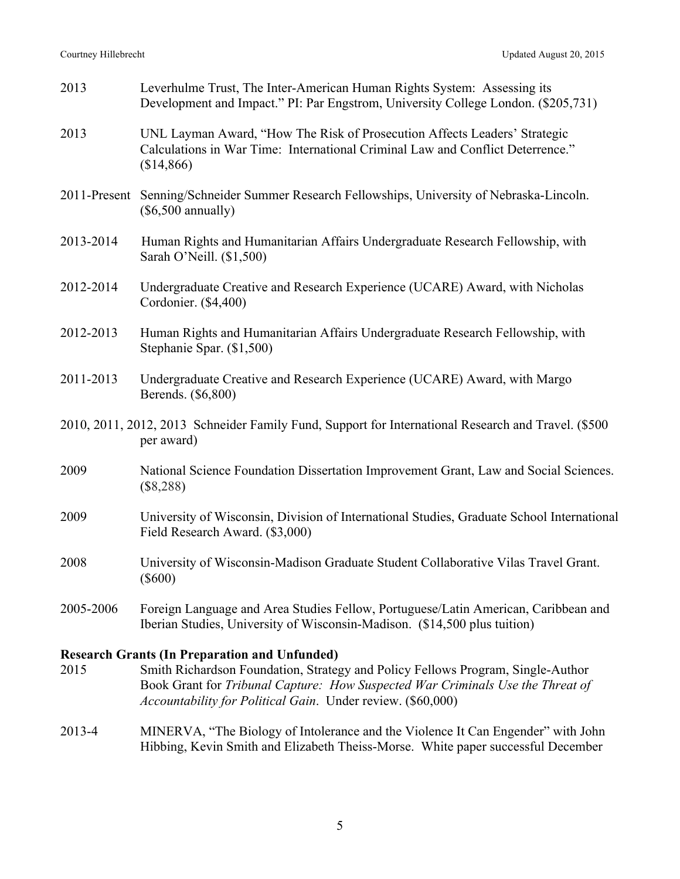| 2013                                                                                                              | Leverhulme Trust, The Inter-American Human Rights System: Assessing its<br>Development and Impact." PI: Par Engstrom, University College London. (\$205,731)                                                              |
|-------------------------------------------------------------------------------------------------------------------|---------------------------------------------------------------------------------------------------------------------------------------------------------------------------------------------------------------------------|
| 2013                                                                                                              | UNL Layman Award, "How The Risk of Prosecution Affects Leaders' Strategic<br>Calculations in War Time: International Criminal Law and Conflict Deterrence."<br>(\$14,866)                                                 |
|                                                                                                                   | 2011-Present Senning/Schneider Summer Research Fellowships, University of Nebraska-Lincoln.<br>$(\$6,500$ annually)                                                                                                       |
| 2013-2014                                                                                                         | Human Rights and Humanitarian Affairs Undergraduate Research Fellowship, with<br>Sarah O'Neill. (\$1,500)                                                                                                                 |
| 2012-2014                                                                                                         | Undergraduate Creative and Research Experience (UCARE) Award, with Nicholas<br>Cordonier. (\$4,400)                                                                                                                       |
| 2012-2013                                                                                                         | Human Rights and Humanitarian Affairs Undergraduate Research Fellowship, with<br>Stephanie Spar. (\$1,500)                                                                                                                |
| 2011-2013                                                                                                         | Undergraduate Creative and Research Experience (UCARE) Award, with Margo<br>Berends. (\$6,800)                                                                                                                            |
| 2010, 2011, 2012, 2013 Schneider Family Fund, Support for International Research and Travel. (\$500<br>per award) |                                                                                                                                                                                                                           |
| 2009                                                                                                              | National Science Foundation Dissertation Improvement Grant, Law and Social Sciences.<br>$(\$8,288)$                                                                                                                       |
| 2009                                                                                                              | University of Wisconsin, Division of International Studies, Graduate School International<br>Field Research Award. (\$3,000)                                                                                              |
| 2008                                                                                                              | University of Wisconsin-Madison Graduate Student Collaborative Vilas Travel Grant.<br>$(\$600)$                                                                                                                           |
| 2005-2006                                                                                                         | Foreign Language and Area Studies Fellow, Portuguese/Latin American, Caribbean and<br>Iberian Studies, University of Wisconsin-Madison. (\$14,500 plus tuition)                                                           |
| 2015                                                                                                              | <b>Research Grants (In Preparation and Unfunded)</b><br>Smith Richardson Foundation, Strategy and Policy Fellows Program, Single-Author<br>Book Grant for Tribunal Capture: How Suspected War Criminals Use the Threat of |

2013-4 MINERVA, "The Biology of Intolerance and the Violence It Can Engender" with John Hibbing, Kevin Smith and Elizabeth Theiss-Morse. White paper successful December

*Accountability for Political Gain*. Under review. (\$60,000)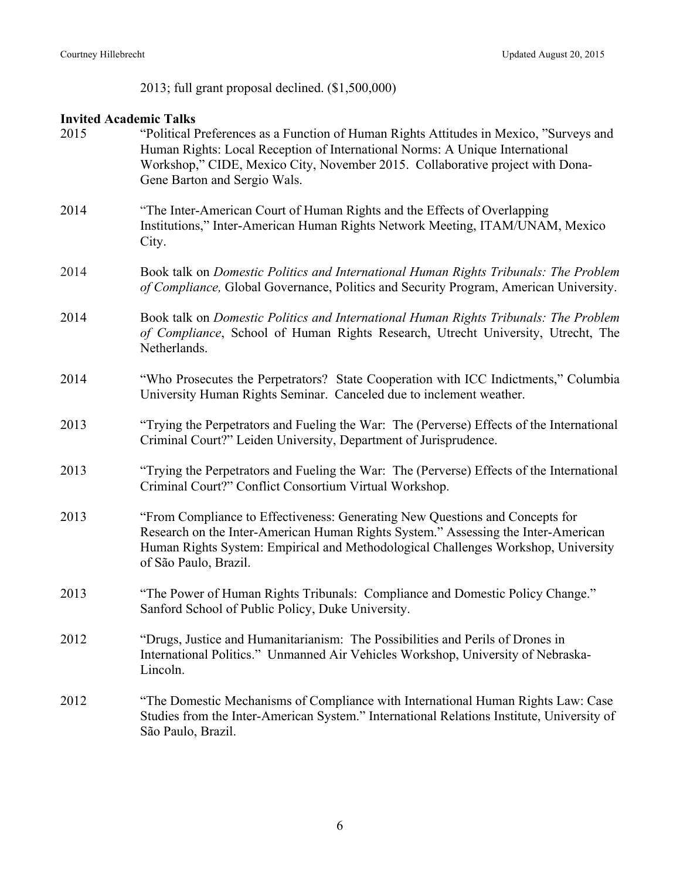2013; full grant proposal declined. (\$1,500,000)

# **Invited Academic Talks**

| 2015 | "Political Preferences as a Function of Human Rights Attitudes in Mexico, "Surveys and<br>Human Rights: Local Reception of International Norms: A Unique International<br>Workshop," CIDE, Mexico City, November 2015. Collaborative project with Dona-<br>Gene Barton and Sergio Wals. |
|------|-----------------------------------------------------------------------------------------------------------------------------------------------------------------------------------------------------------------------------------------------------------------------------------------|
| 2014 | "The Inter-American Court of Human Rights and the Effects of Overlapping<br>Institutions," Inter-American Human Rights Network Meeting, ITAM/UNAM, Mexico<br>City.                                                                                                                      |
| 2014 | Book talk on Domestic Politics and International Human Rights Tribunals: The Problem<br>of Compliance, Global Governance, Politics and Security Program, American University.                                                                                                           |
| 2014 | Book talk on Domestic Politics and International Human Rights Tribunals: The Problem<br>of Compliance, School of Human Rights Research, Utrecht University, Utrecht, The<br>Netherlands.                                                                                                |
| 2014 | "Who Prosecutes the Perpetrators? State Cooperation with ICC Indictments," Columbia<br>University Human Rights Seminar. Canceled due to inclement weather.                                                                                                                              |
| 2013 | "Trying the Perpetrators and Fueling the War: The (Perverse) Effects of the International<br>Criminal Court?" Leiden University, Department of Jurisprudence.                                                                                                                           |
| 2013 | "Trying the Perpetrators and Fueling the War: The (Perverse) Effects of the International<br>Criminal Court?" Conflict Consortium Virtual Workshop.                                                                                                                                     |
| 2013 | "From Compliance to Effectiveness: Generating New Questions and Concepts for<br>Research on the Inter-American Human Rights System." Assessing the Inter-American<br>Human Rights System: Empirical and Methodological Challenges Workshop, University<br>of São Paulo, Brazil.         |
| 2013 | "The Power of Human Rights Tribunals: Compliance and Domestic Policy Change."<br>Sanford School of Public Policy, Duke University.                                                                                                                                                      |
| 2012 | "Drugs, Justice and Humanitarianism: The Possibilities and Perils of Drones in<br>International Politics." Unmanned Air Vehicles Workshop, University of Nebraska-<br>Lincoln.                                                                                                          |
| 2012 | "The Domestic Mechanisms of Compliance with International Human Rights Law: Case<br>Studies from the Inter-American System." International Relations Institute, University of<br>São Paulo, Brazil.                                                                                     |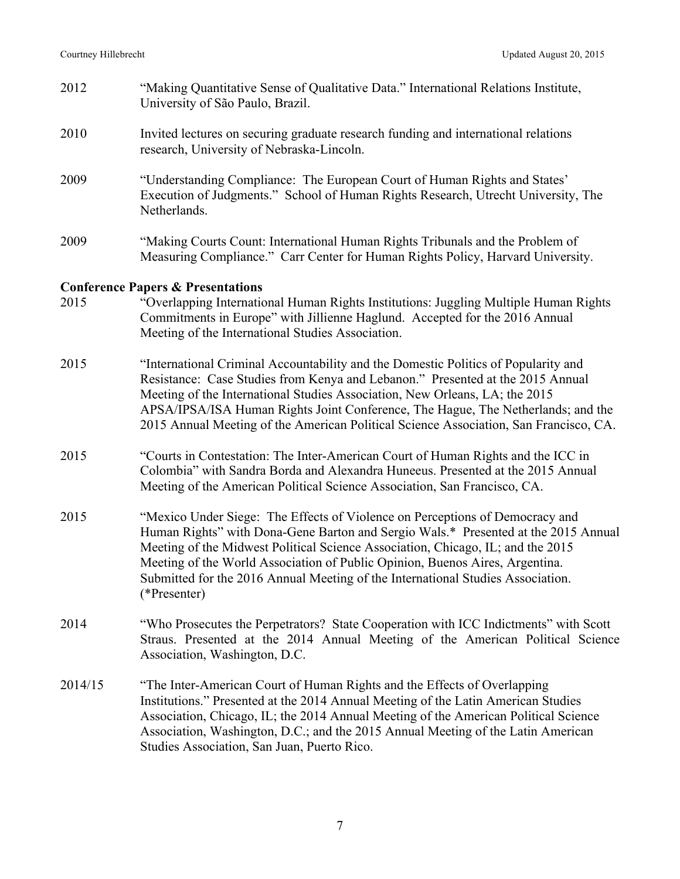- 2012 "Making Quantitative Sense of Qualitative Data." International Relations Institute, University of São Paulo, Brazil.
- 2010 Invited lectures on securing graduate research funding and international relations research, University of Nebraska-Lincoln.
- 2009 "Understanding Compliance: The European Court of Human Rights and States' Execution of Judgments." School of Human Rights Research, Utrecht University, The **Netherlands**
- 2009 "Making Courts Count: International Human Rights Tribunals and the Problem of Measuring Compliance." Carr Center for Human Rights Policy, Harvard University.

### **Conference Papers & Presentations**

- 2015 "Overlapping International Human Rights Institutions: Juggling Multiple Human Rights Commitments in Europe" with Jillienne Haglund. Accepted for the 2016 Annual Meeting of the International Studies Association.
- 2015 "International Criminal Accountability and the Domestic Politics of Popularity and Resistance: Case Studies from Kenya and Lebanon." Presented at the 2015 Annual Meeting of the International Studies Association, New Orleans, LA; the 2015 APSA/IPSA/ISA Human Rights Joint Conference, The Hague, The Netherlands; and the 2015 Annual Meeting of the American Political Science Association, San Francisco, CA.
- 2015 "Courts in Contestation: The Inter-American Court of Human Rights and the ICC in Colombia" with Sandra Borda and Alexandra Huneeus. Presented at the 2015 Annual Meeting of the American Political Science Association, San Francisco, CA.
- 2015 "Mexico Under Siege: The Effects of Violence on Perceptions of Democracy and Human Rights" with Dona-Gene Barton and Sergio Wals.\* Presented at the 2015 Annual Meeting of the Midwest Political Science Association, Chicago, IL; and the 2015 Meeting of the World Association of Public Opinion, Buenos Aires, Argentina. Submitted for the 2016 Annual Meeting of the International Studies Association. (\*Presenter)
- 2014 "Who Prosecutes the Perpetrators? State Cooperation with ICC Indictments" with Scott Straus. Presented at the 2014 Annual Meeting of the American Political Science Association, Washington, D.C.
- 2014/15 "The Inter-American Court of Human Rights and the Effects of Overlapping Institutions." Presented at the 2014 Annual Meeting of the Latin American Studies Association, Chicago, IL; the 2014 Annual Meeting of the American Political Science Association, Washington, D.C.; and the 2015 Annual Meeting of the Latin American Studies Association, San Juan, Puerto Rico.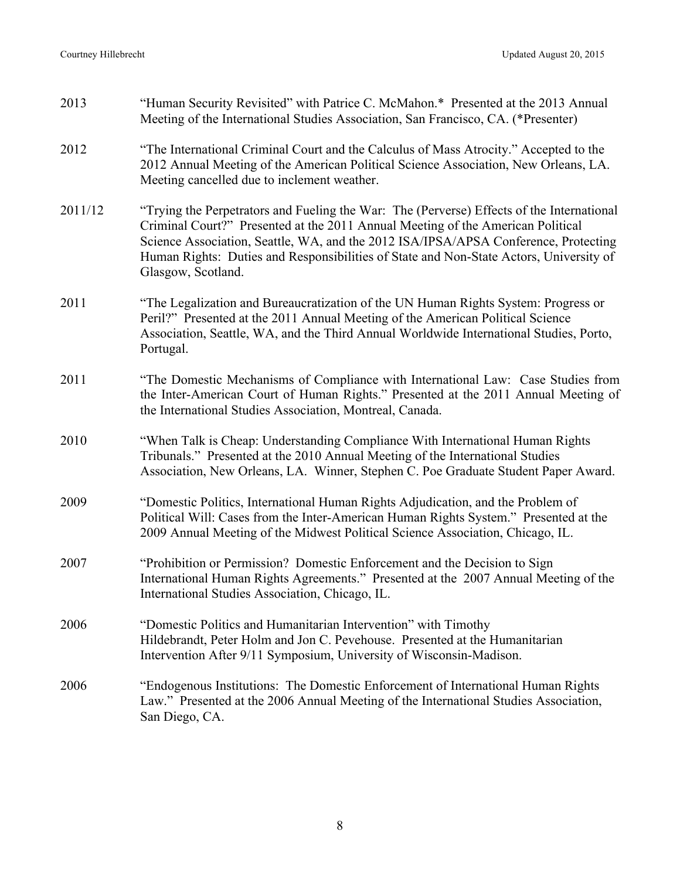| 2013    | "Human Security Revisited" with Patrice C. McMahon.* Presented at the 2013 Annual<br>Meeting of the International Studies Association, San Francisco, CA. (*Presenter)                                                                                                                                                                                                              |
|---------|-------------------------------------------------------------------------------------------------------------------------------------------------------------------------------------------------------------------------------------------------------------------------------------------------------------------------------------------------------------------------------------|
| 2012    | "The International Criminal Court and the Calculus of Mass Atrocity." Accepted to the<br>2012 Annual Meeting of the American Political Science Association, New Orleans, LA.<br>Meeting cancelled due to inclement weather.                                                                                                                                                         |
| 2011/12 | "Trying the Perpetrators and Fueling the War: The (Perverse) Effects of the International<br>Criminal Court?" Presented at the 2011 Annual Meeting of the American Political<br>Science Association, Seattle, WA, and the 2012 ISA/IPSA/APSA Conference, Protecting<br>Human Rights: Duties and Responsibilities of State and Non-State Actors, University of<br>Glasgow, Scotland. |
| 2011    | "The Legalization and Bureaucratization of the UN Human Rights System: Progress or<br>Peril?" Presented at the 2011 Annual Meeting of the American Political Science<br>Association, Seattle, WA, and the Third Annual Worldwide International Studies, Porto,<br>Portugal.                                                                                                         |
| 2011    | "The Domestic Mechanisms of Compliance with International Law: Case Studies from<br>the Inter-American Court of Human Rights." Presented at the 2011 Annual Meeting of<br>the International Studies Association, Montreal, Canada.                                                                                                                                                  |
| 2010    | "When Talk is Cheap: Understanding Compliance With International Human Rights<br>Tribunals." Presented at the 2010 Annual Meeting of the International Studies<br>Association, New Orleans, LA. Winner, Stephen C. Poe Graduate Student Paper Award.                                                                                                                                |
| 2009    | "Domestic Politics, International Human Rights Adjudication, and the Problem of<br>Political Will: Cases from the Inter-American Human Rights System." Presented at the<br>2009 Annual Meeting of the Midwest Political Science Association, Chicago, IL.                                                                                                                           |
| 2007    | "Prohibition or Permission? Domestic Enforcement and the Decision to Sign<br>International Human Rights Agreements." Presented at the 2007 Annual Meeting of the<br>International Studies Association, Chicago, IL.                                                                                                                                                                 |
| 2006    | "Domestic Politics and Humanitarian Intervention" with Timothy<br>Hildebrandt, Peter Holm and Jon C. Pevehouse. Presented at the Humanitarian<br>Intervention After 9/11 Symposium, University of Wisconsin-Madison.                                                                                                                                                                |
| 2006    | "Endogenous Institutions: The Domestic Enforcement of International Human Rights<br>Law." Presented at the 2006 Annual Meeting of the International Studies Association,<br>San Diego, CA.                                                                                                                                                                                          |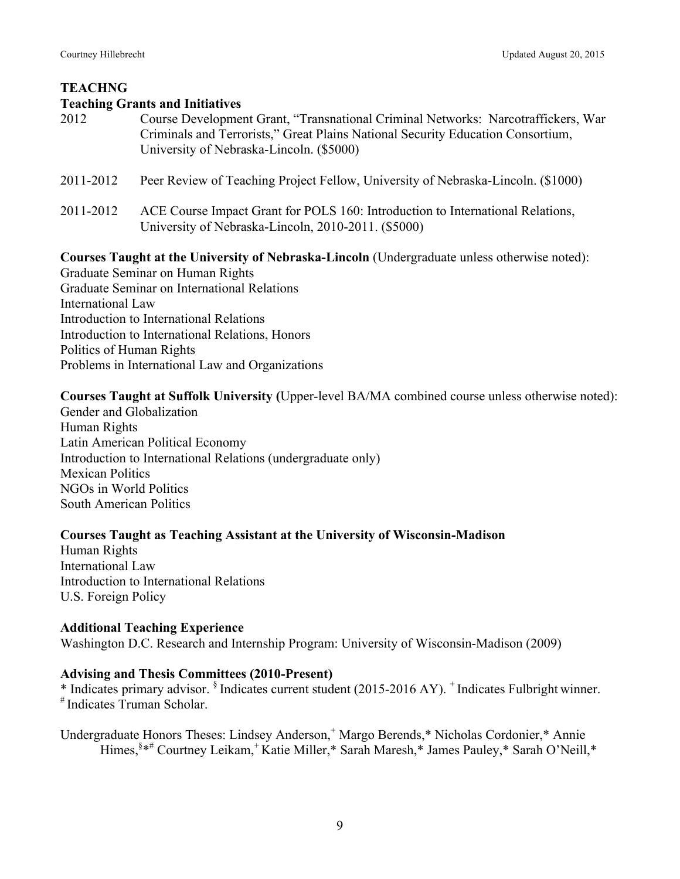# **TEACHNG**

## **Teaching Grants and Initiatives**

- 2012 Course Development Grant, "Transnational Criminal Networks: Narcotraffickers, War Criminals and Terrorists," Great Plains National Security Education Consortium, University of Nebraska-Lincoln. (\$5000)
- 2011-2012 Peer Review of Teaching Project Fellow, University of Nebraska-Lincoln. (\$1000)
- 2011-2012 ACE Course Impact Grant for POLS 160: Introduction to International Relations, University of Nebraska-Lincoln, 2010-2011. (\$5000)

#### **Courses Taught at the University of Nebraska-Lincoln** (Undergraduate unless otherwise noted):

Graduate Seminar on Human Rights Graduate Seminar on International Relations International Law Introduction to International Relations Introduction to International Relations, Honors Politics of Human Rights Problems in International Law and Organizations

# **Courses Taught at Suffolk University (**Upper-level BA/MA combined course unless otherwise noted):

Gender and Globalization Human Rights Latin American Political Economy Introduction to International Relations (undergraduate only) Mexican Politics NGOs in World Politics South American Politics

# **Courses Taught as Teaching Assistant at the University of Wisconsin-Madison**

Human Rights International Law Introduction to International Relations U.S. Foreign Policy

#### **Additional Teaching Experience**

Washington D.C. Research and Internship Program: University of Wisconsin-Madison (2009)

#### **Advising and Thesis Committees (2010-Present)**

 $*$  Indicates primary advisor.  $§$  Indicates current student (2015-2016 AY).  $^+$  Indicates Fulbright winner.  $*$  Indicates Truman Scholar.

Undergraduate Honors Theses: Lindsey Anderson, <sup>+</sup> Margo Berends,\* Nicholas Cordonier,\* Annie Himes,§ \*# Courtney Leikam, <sup>+</sup> Katie Miller,\* Sarah Maresh,\* James Pauley,\* Sarah O'Neill,\*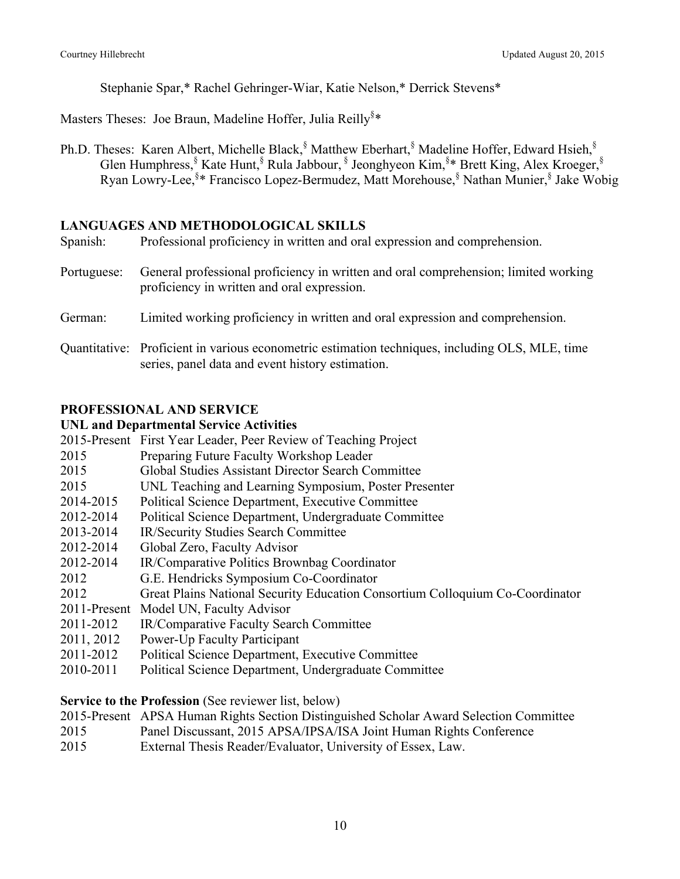Stephanie Spar,\* Rachel Gehringer-Wiar, Katie Nelson,\* Derrick Stevens\*

Masters Theses: Joe Braun, Madeline Hoffer, Julia Reilly<sup>§\*</sup>

Ph.D. Theses: Karen Albert, Michelle Black,<sup>§</sup> Matthew Eberhart,<sup>§</sup> Madeline Hoffer, Edward Hsieh,<sup>§</sup> Glen Humphress, Kate Hunt, Rula Jabbour, Steonghyeon Kim, S\* Brett King, Alex Kroeger, S Ryan Lowry-Lee,§ \* Francisco Lopez-Bermudez, Matt Morehouse,§ Nathan Munier,§ Jake Wobig

# **LANGUAGES AND METHODOLOGICAL SKILLS**

| Spanish:    | Professional proficiency in written and oral expression and comprehension.                                                                          |
|-------------|-----------------------------------------------------------------------------------------------------------------------------------------------------|
| Portuguese: | General professional proficiency in written and oral comprehension; limited working<br>proficiency in written and oral expression.                  |
| German:     | Limited working proficiency in written and oral expression and comprehension.                                                                       |
|             | Quantitative: Proficient in various econometric estimation techniques, including OLS, MLE, time<br>series, panel data and event history estimation. |

# **PROFESSIONAL AND SERVICE**

# **UNL and Departmental Service Activities**

|              | 2015-Present First Year Leader, Peer Review of Teaching Project               |
|--------------|-------------------------------------------------------------------------------|
| 2015         | Preparing Future Faculty Workshop Leader                                      |
| 2015         | Global Studies Assistant Director Search Committee                            |
| 2015         | UNL Teaching and Learning Symposium, Poster Presenter                         |
| 2014-2015    | Political Science Department, Executive Committee                             |
| 2012-2014    | Political Science Department, Undergraduate Committee                         |
| 2013-2014    | IR/Security Studies Search Committee                                          |
| 2012-2014    | Global Zero, Faculty Advisor                                                  |
| 2012-2014    | IR/Comparative Politics Brownbag Coordinator                                  |
| 2012         | G.E. Hendricks Symposium Co-Coordinator                                       |
| 2012         | Great Plains National Security Education Consortium Colloquium Co-Coordinator |
| 2011-Present | Model UN, Faculty Advisor                                                     |
| 2011-2012    | IR/Comparative Faculty Search Committee                                       |
| 2011, 2012   | <b>Power-Up Faculty Participant</b>                                           |
| 2011-2012    | Political Science Department, Executive Committee                             |
| 2010-2011    | Political Science Department, Undergraduate Committee                         |

**Service to the Profession** (See reviewer list, below)

- 2015-Present APSA Human Rights Section Distinguished Scholar Award Selection Committee
- 2015 Panel Discussant, 2015 APSA/IPSA/ISA Joint Human Rights Conference
- 2015 External Thesis Reader/Evaluator, University of Essex, Law.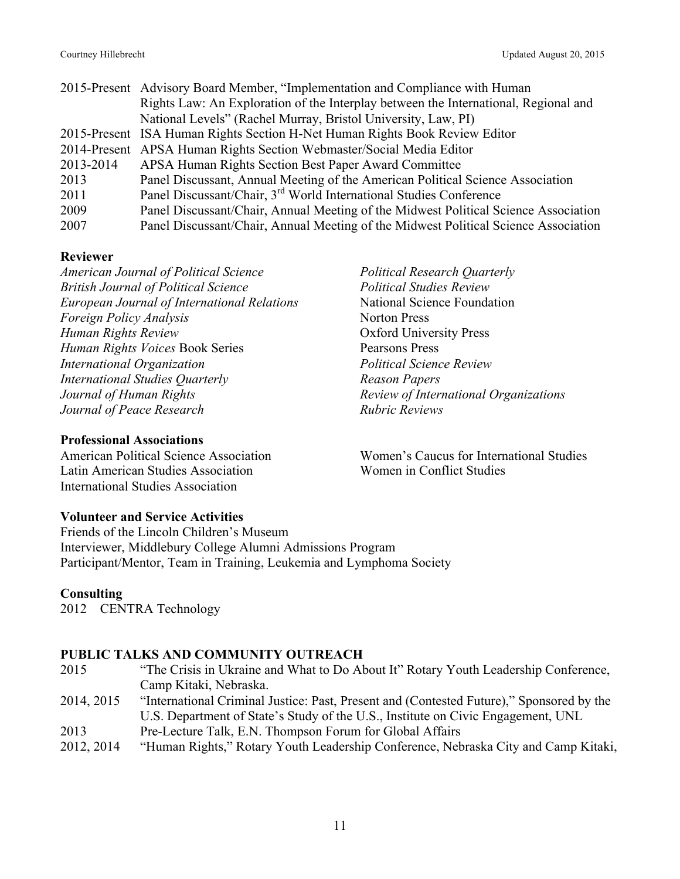|           | 2015-Present Advisory Board Member, "Implementation and Compliance with Human       |
|-----------|-------------------------------------------------------------------------------------|
|           | Rights Law: An Exploration of the Interplay between the International, Regional and |
|           | National Levels" (Rachel Murray, Bristol University, Law, PI)                       |
|           | 2015-Present ISA Human Rights Section H-Net Human Rights Book Review Editor         |
|           | 2014-Present APSA Human Rights Section Webmaster/Social Media Editor                |
| 2013-2014 | APSA Human Rights Section Best Paper Award Committee                                |
| 2013      | Panel Discussant, Annual Meeting of the American Political Science Association      |
| 2011      | Panel Discussant/Chair, 3 <sup>rd</sup> World International Studies Conference      |
| 2009      | Panel Discussant/Chair, Annual Meeting of the Midwest Political Science Association |
| 2007      | Panel Discussant/Chair, Annual Meeting of the Midwest Political Science Association |

#### **Reviewer**

*American Journal of Political Science British Journal of Political Science European Journal of International Relations Foreign Policy Analysis Human Rights Review Human Rights Voices* Book Series *International Organization International Studies Quarterly Journal of Human Rights Journal of Peace Research*

#### **Professional Associations**

American Political Science Association Latin American Studies Association International Studies Association

*Political Research Quarterly Political Studies Review* National Science Foundation Norton Press Oxford University Press Pearsons Press *Political Science Review Reason Papers Review of International Organizations Rubric Reviews*

Women's Caucus for International Studies Women in Conflict Studies

# **Volunteer and Service Activities**

Friends of the Lincoln Children's Museum Interviewer, Middlebury College Alumni Admissions Program Participant/Mentor, Team in Training, Leukemia and Lymphoma Society

# **Consulting**

2012 CENTRA Technology

#### **PUBLIC TALKS AND COMMUNITY OUTREACH**

| 2015       | "The Crisis in Ukraine and What to Do About It" Rotary Youth Leadership Conference,      |
|------------|------------------------------------------------------------------------------------------|
|            | Camp Kitaki, Nebraska.                                                                   |
| 2014, 2015 | "International Criminal Justice: Past, Present and (Contested Future)," Sponsored by the |
|            | U.S. Department of State's Study of the U.S., Institute on Civic Engagement, UNL         |
| 2013       | Pre-Lecture Talk, E.N. Thompson Forum for Global Affairs                                 |
| 2012, 2014 | "Human Rights" Rotary Vouth Leadership Conference Nebraska City and Camp Kitaki          |